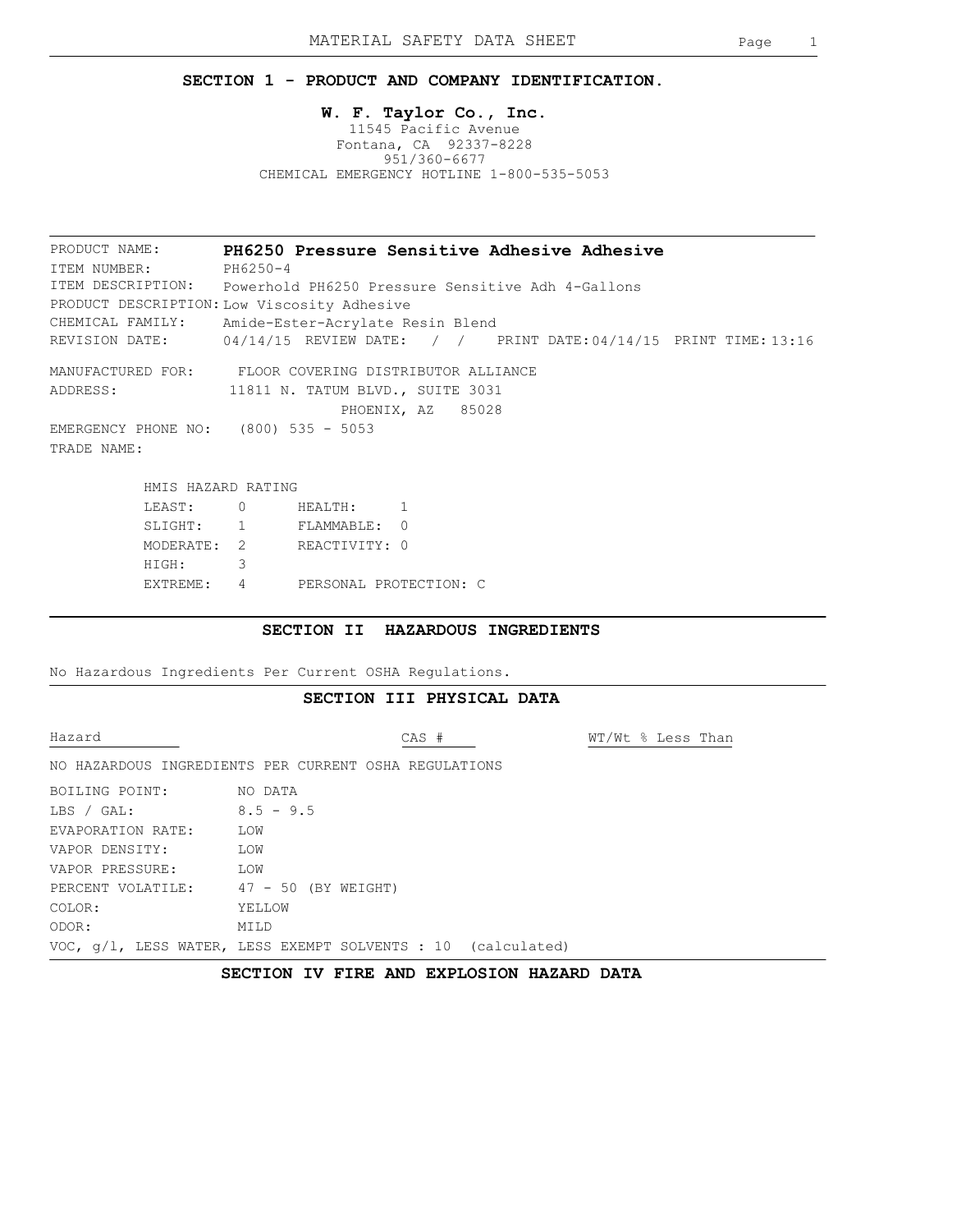### **SECTION 1 - PRODUCT AND COMPANY IDENTIFICATION.**

### **W. F. Taylor Co., Inc.** 11545 Pacific Avenue Fontana, CA 92337-8228 951/360-6677 CHEMICAL EMERGENCY HOTLINE 1-800-535-5053

PRODUCT DESCRIPTION: Low Viscosity Adhesive ITEM DESCRIPTION: Powerhold PH6250 Pressure Sensitive Adh 4-Gallons PRODUCT NAME: CHEMICAL FAMILY: **PH6250 Pressure Sensitive Adhesive Adhesive** Amide-Ester-Acrylate Resin Blend REVISION DATE: ITEM NUMBER: PH6250-4  $04/14/15$  REVIEW DATE: / / PRINT DATE:  $04/14/15$  PRINT TIME: 13:16 MANUFACTURED FOR: FLOOR COVERING DISTRIBUTOR ALLIANCE ADDRESS: 11811 N. TATUM BLVD., SUITE 3031 PHOENIX, AZ 85028 EMERGENCY PHONE NO: (800) 535 - 5053 TRADE NAME:

| HMIS HAZARD RATING |   |                        |  |
|--------------------|---|------------------------|--|
| LEAST:             |   | HEALTH:                |  |
| SLIGHT:            |   | FLAMMABLE: 0           |  |
| MODERATE: 2        |   | REACTIVITY: 0          |  |
| HIGH:              | 3 |                        |  |
| EXTREME:           |   | PERSONAL PROTECTION: C |  |

### **SECTION II HAZARDOUS INGREDIENTS**

No Hazardous Ingredients Per Current OSHA Regulations.

### **SECTION III PHYSICAL DATA**

Hazard CAS # WT/Wt % Less Than

NO HAZARDOUS INGREDIENTS PER CURRENT OSHA REGULATIONS

| BOILING POINT:                        | NO DATA                                                         |
|---------------------------------------|-----------------------------------------------------------------|
| LBS / GAL:                            | $8.5 - 9.5$                                                     |
| EVAPORATION RATE:                     | LOW                                                             |
| VAPOR DENSITY:                        | LOW                                                             |
| VAPOR PRESSURE:                       | LOW                                                             |
| PERCENT VOLATILE: 47 - 50 (BY WEIGHT) |                                                                 |
| COLOR:                                | YELLOW                                                          |
| ODOR:                                 | MTT.D                                                           |
|                                       | VOC, $q/l$ , LESS WATER, LESS EXEMPT SOLVENTS : 10 (calculated) |

### **SECTION IV FIRE AND EXPLOSION HAZARD DATA**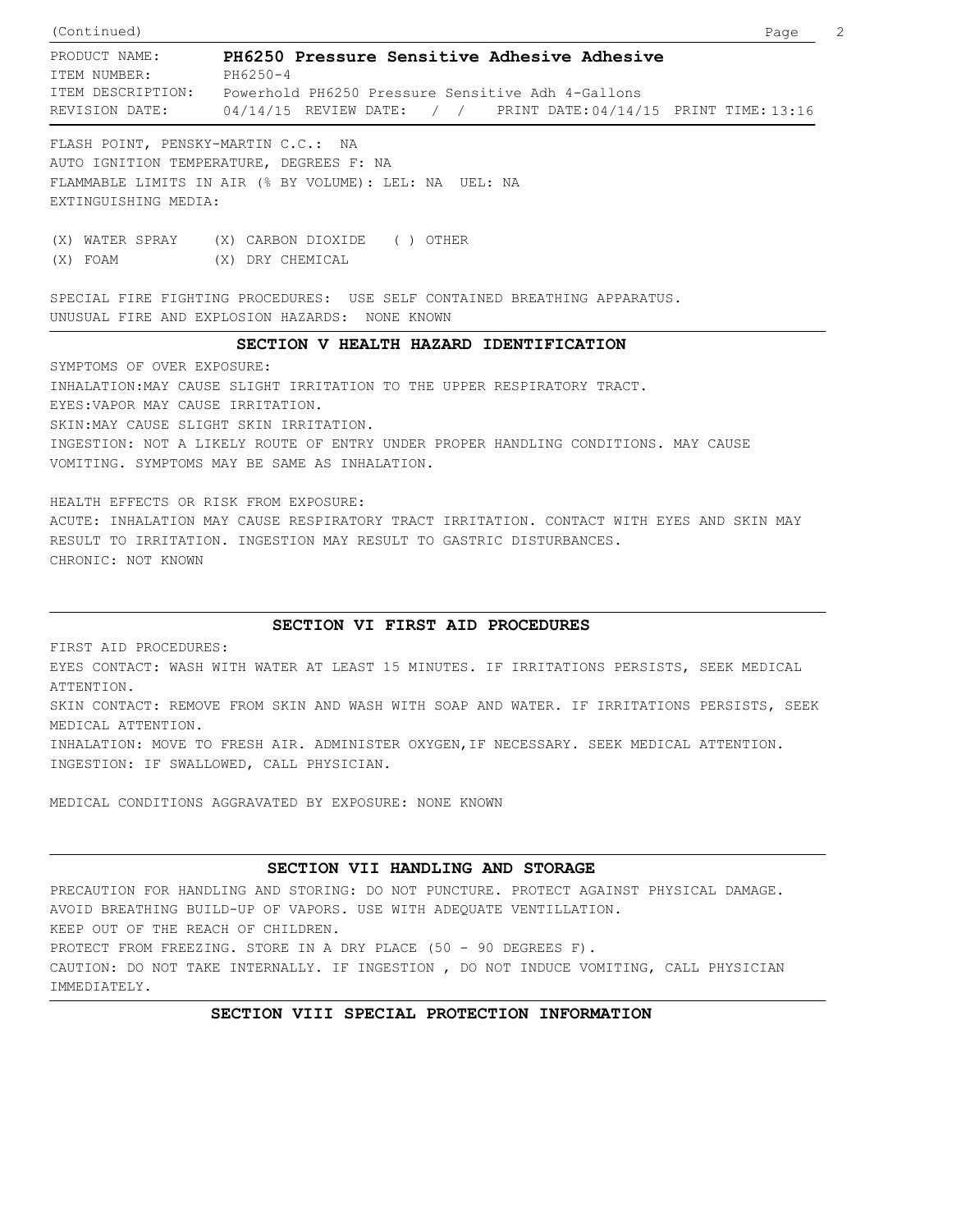ITEM DESCRIPTION: Powerhold PH6250 Pressure Sensitive Adh 4-Gallons PRODUCT NAME: **PH6250 Pressure Sensitive Adhesive Adhesive** REVISION DATE: (Continued) Page 2 ITEM NUMBER: PH6250-4 04/14/15 REVIEW DATE: / / PRINT DATE:04/14/15 PRINT TIME:13:16

FLASH POINT, PENSKY-MARTIN C.C.: NA AUTO IGNITION TEMPERATURE, DEGREES F: NA FLAMMABLE LIMITS IN AIR (% BY VOLUME): LEL: NA UEL: NA EXTINGUISHING MEDIA:

(X) WATER SPRAY (X) CARBON DIOXIDE ( ) OTHER (X) FOAM (X) DRY CHEMICAL

SPECIAL FIRE FIGHTING PROCEDURES: USE SELF CONTAINED BREATHING APPARATUS. UNUSUAL FIRE AND EXPLOSION HAZARDS: NONE KNOWN

# **SECTION V HEALTH HAZARD IDENTIFICATION**

SYMPTOMS OF OVER EXPOSURE: INHALATION:MAY CAUSE SLIGHT IRRITATION TO THE UPPER RESPIRATORY TRACT. EYES:VAPOR MAY CAUSE IRRITATION. SKIN:MAY CAUSE SLIGHT SKIN IRRITATION. INGESTION: NOT A LIKELY ROUTE OF ENTRY UNDER PROPER HANDLING CONDITIONS. MAY CAUSE VOMITING. SYMPTOMS MAY BE SAME AS INHALATION.

HEALTH EFFECTS OR RISK FROM EXPOSURE: ACUTE: INHALATION MAY CAUSE RESPIRATORY TRACT IRRITATION. CONTACT WITH EYES AND SKIN MAY RESULT TO IRRITATION. INGESTION MAY RESULT TO GASTRIC DISTURBANCES. CHRONIC: NOT KNOWN

# **SECTION VI FIRST AID PROCEDURES**

FIRST AID PROCEDURES: EYES CONTACT: WASH WITH WATER AT LEAST 15 MINUTES. IF IRRITATIONS PERSISTS, SEEK MEDICAL ATTENTION. SKIN CONTACT: REMOVE FROM SKIN AND WASH WITH SOAP AND WATER. IF IRRITATIONS PERSISTS, SEEK MEDICAL ATTENTION. INHALATION: MOVE TO FRESH AIR. ADMINISTER OXYGEN,IF NECESSARY. SEEK MEDICAL ATTENTION. INGESTION: IF SWALLOWED, CALL PHYSICIAN.

MEDICAL CONDITIONS AGGRAVATED BY EXPOSURE: NONE KNOWN

# **SECTION VII HANDLING AND STORAGE**

PRECAUTION FOR HANDLING AND STORING: DO NOT PUNCTURE. PROTECT AGAINST PHYSICAL DAMAGE. AVOID BREATHING BUILD-UP OF VAPORS. USE WITH ADEQUATE VENTILLATION. KEEP OUT OF THE REACH OF CHILDREN. PROTECT FROM FREEZING. STORE IN A DRY PLACE (50 - 90 DEGREES F). CAUTION: DO NOT TAKE INTERNALLY. IF INGESTION , DO NOT INDUCE VOMITING, CALL PHYSICIAN IMMEDIATELY.

# **SECTION VIII SPECIAL PROTECTION INFORMATION**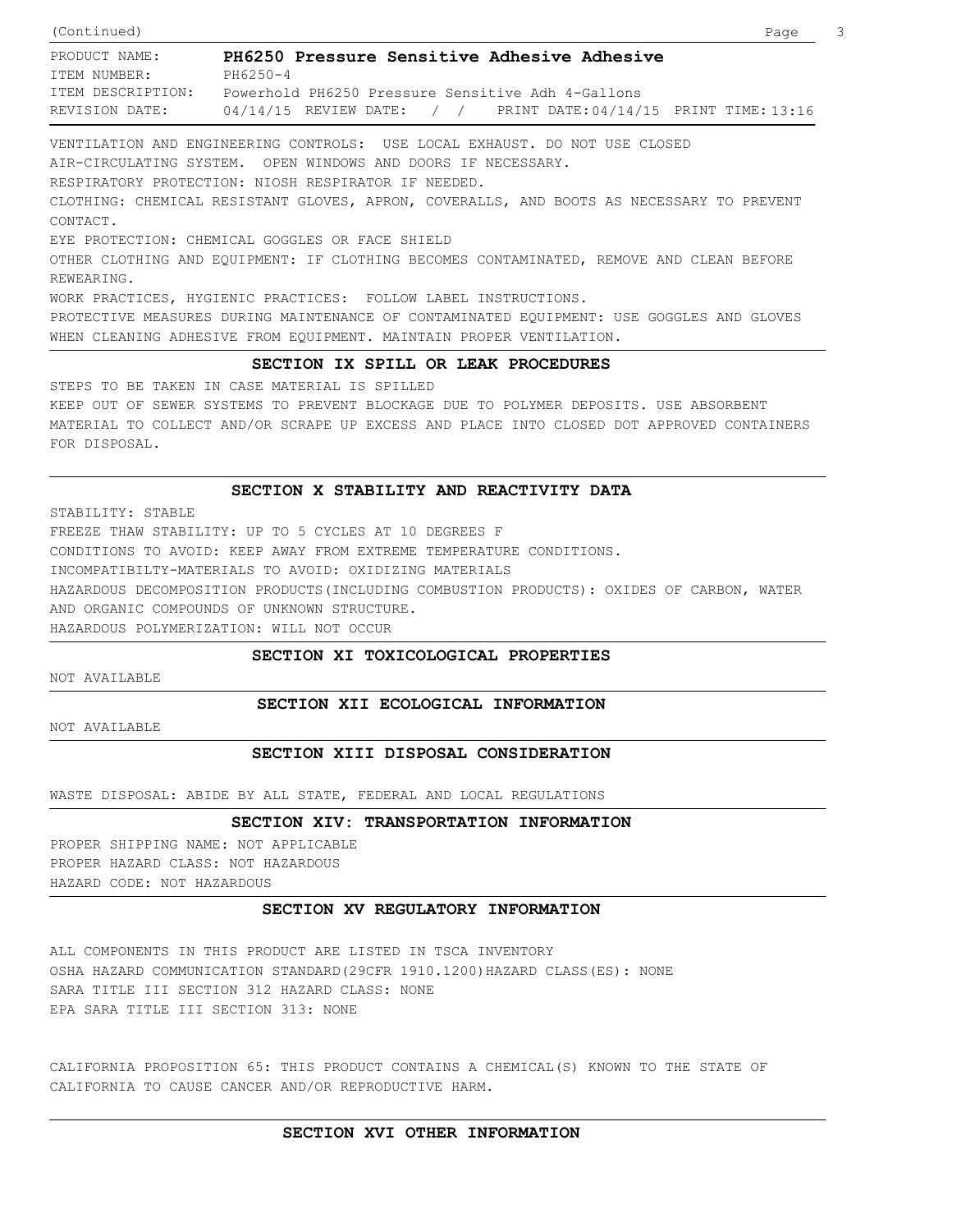| (Continued)       |                                                                        | - 3<br>Page |
|-------------------|------------------------------------------------------------------------|-------------|
| PRODUCT NAME:     | PH6250 Pressure Sensitive Adhesive Adhesive                            |             |
| ITEM NUMBER:      | PH6250-4                                                               |             |
| ITEM DESCRIPTION: | Powerhold PH6250 Pressure Sensitive Adh 4-Gallons                      |             |
| REVISION DATE:    | $0.4/14/15$ REVIEW DATE: / / PRINT DATE: $0.4/14/15$ PRINT TIME: 13:16 |             |

VENTILATION AND ENGINEERING CONTROLS: USE LOCAL EXHAUST. DO NOT USE CLOSED AIR-CIRCULATING SYSTEM. OPEN WINDOWS AND DOORS IF NECESSARY. RESPIRATORY PROTECTION: NIOSH RESPIRATOR IF NEEDED. CLOTHING: CHEMICAL RESISTANT GLOVES, APRON, COVERALLS, AND BOOTS AS NECESSARY TO PREVENT CONTACT. EYE PROTECTION: CHEMICAL GOGGLES OR FACE SHIELD OTHER CLOTHING AND EQUIPMENT: IF CLOTHING BECOMES CONTAMINATED, REMOVE AND CLEAN BEFORE REWEARING. WORK PRACTICES, HYGIENIC PRACTICES: FOLLOW LABEL INSTRUCTIONS. PROTECTIVE MEASURES DURING MAINTENANCE OF CONTAMINATED EQUIPMENT: USE GOGGLES AND GLOVES WHEN CLEANING ADHESIVE FROM EQUIPMENT. MAINTAIN PROPER VENTILATION.

### **SECTION IX SPILL OR LEAK PROCEDURES**

STEPS TO BE TAKEN IN CASE MATERIAL IS SPILLED KEEP OUT OF SEWER SYSTEMS TO PREVENT BLOCKAGE DUE TO POLYMER DEPOSITS. USE ABSORBENT MATERIAL TO COLLECT AND/OR SCRAPE UP EXCESS AND PLACE INTO CLOSED DOT APPROVED CONTAINERS FOR DISPOSAL.

### **SECTION X STABILITY AND REACTIVITY DATA**

STABILITY: STABLE FREEZE THAW STABILITY: UP TO 5 CYCLES AT 10 DEGREES F CONDITIONS TO AVOID: KEEP AWAY FROM EXTREME TEMPERATURE CONDITIONS. INCOMPATIBILTY-MATERIALS TO AVOID: OXIDIZING MATERIALS HAZARDOUS DECOMPOSITION PRODUCTS(INCLUDING COMBUSTION PRODUCTS): OXIDES OF CARBON, WATER AND ORGANIC COMPOUNDS OF UNKNOWN STRUCTURE. HAZARDOUS POLYMERIZATION: WILL NOT OCCUR

## **SECTION XI TOXICOLOGICAL PROPERTIES**

NOT AVAILABLE

# **SECTION XII ECOLOGICAL INFORMATION**

NOT AVAILABLE

# **SECTION XIII DISPOSAL CONSIDERATION**

WASTE DISPOSAL: ABIDE BY ALL STATE, FEDERAL AND LOCAL REGULATIONS

#### **SECTION XIV: TRANSPORTATION INFORMATION**

PROPER SHIPPING NAME: NOT APPLICABLE PROPER HAZARD CLASS: NOT HAZARDOUS HAZARD CODE: NOT HAZARDOUS

## **SECTION XV REGULATORY INFORMATION**

ALL COMPONENTS IN THIS PRODUCT ARE LISTED IN TSCA INVENTORY OSHA HAZARD COMMUNICATION STANDARD(29CFR 1910.1200)HAZARD CLASS(ES): NONE SARA TITLE III SECTION 312 HAZARD CLASS: NONE EPA SARA TITLE III SECTION 313: NONE

CALIFORNIA PROPOSITION 65: THIS PRODUCT CONTAINS A CHEMICAL(S) KNOWN TO THE STATE OF CALIFORNIA TO CAUSE CANCER AND/OR REPRODUCTIVE HARM.